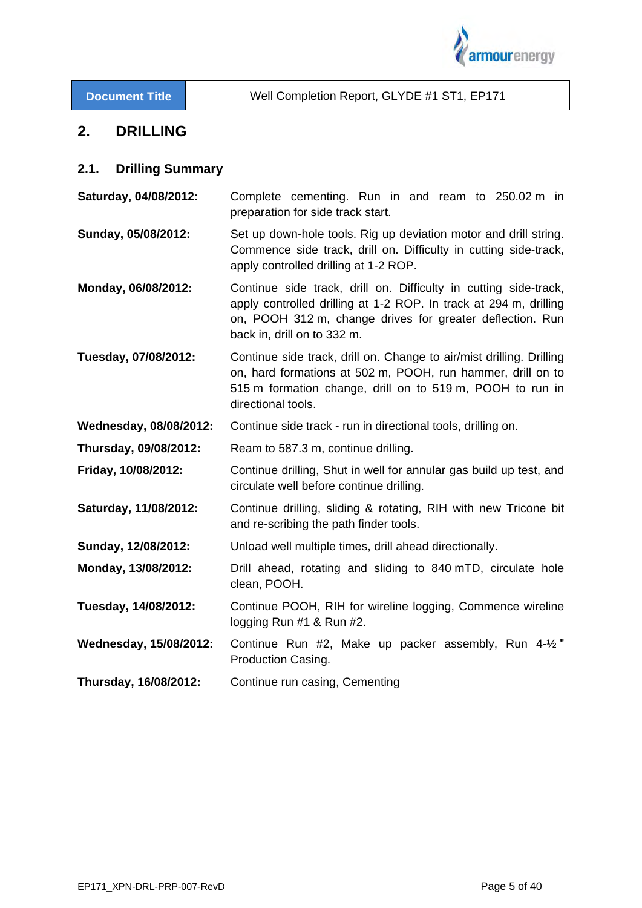

# **2. DRILLING**

## **2.1. Drilling Summary**

**Saturday, 04/08/2012:** Complete cementing. Run in and ream to 250.02 m in preparation for side track start.

**Sunday, 05/08/2012:** Set up down-hole tools. Rig up deviation motor and drill string. Commence side track, drill on. Difficulty in cutting side-track, apply controlled drilling at 1-2 ROP.

**Monday, 06/08/2012:** Continue side track, drill on. Difficulty in cutting side-track, apply controlled drilling at 1-2 ROP. In track at 294 m, drilling on, POOH 312 m, change drives for greater deflection. Run back in, drill on to 332 m.

**Tuesday, 07/08/2012:** Continue side track, drill on. Change to air/mist drilling. Drilling on, hard formations at 502 m, POOH, run hammer, drill on to 515 m formation change, drill on to 519 m, POOH to run in directional tools.

**Wednesday, 08/08/2012:** Continue side track - run in directional tools, drilling on.

**Thursday, 09/08/2012:** Ream to 587.3 m, continue drilling.

**Friday, 10/08/2012:** Continue drilling, Shut in well for annular gas build up test, and circulate well before continue drilling.

- **Saturday, 11/08/2012:** Continue drilling, sliding & rotating, RIH with new Tricone bit and re-scribing the path finder tools.
- **Sunday, 12/08/2012:** Unload well multiple times, drill ahead directionally.
- **Monday, 13/08/2012:** Drill ahead, rotating and sliding to 840 mTD, circulate hole clean, POOH.
- **Tuesday, 14/08/2012:** Continue POOH, RIH for wireline logging, Commence wireline logging Run #1 & Run #2.
- **Wednesday, 15/08/2012:** Continue Run #2, Make up packer assembly, Run 4-½ ʺ Production Casing.
- **Thursday, 16/08/2012:** Continue run casing, Cementing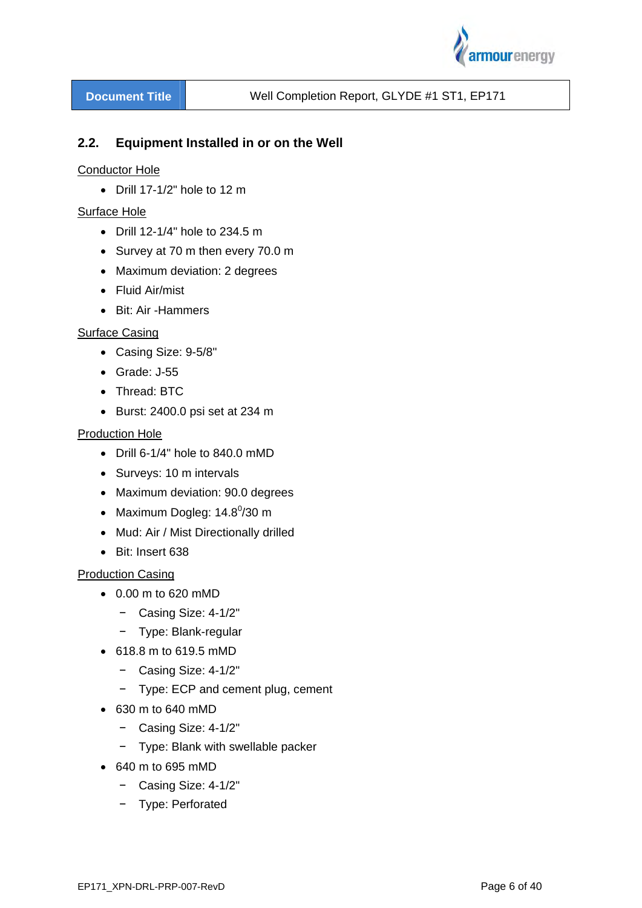

# **2.2. Equipment Installed in or on the Well**

#### Conductor Hole

 $\bullet$  Drill 17-1/2" hole to 12 m

#### Surface Hole

- Drill 12-1/4" hole to 234.5 m
- Survey at 70 m then every 70.0 m
- Maximum deviation: 2 degrees
- Fluid Air/mist
- Bit: Air -Hammers

#### Surface Casing

- Casing Size: 9-5/8"
- Grade: J-55
- Thread: BTC
- $\bullet$  Burst: 2400.0 psi set at 234 m

#### Production Hole

- Drill 6-1/4" hole to 840.0 mMD
- Surveys: 10 m intervals
- Maximum deviation: 90.0 degrees
- Maximum Dogleg:  $14.8^{\circ}/30$  m
- Mud: Air / Mist Directionally drilled
- Bit: Insert 638

#### Production Casing

- 0.00 m to 620 mMD
	- − Casing Size: 4-1/2"
	- − Type: Blank-regular
- 618.8 m to 619.5 mMD
	- − Casing Size: 4-1/2"
	- − Type: ECP and cement plug, cement
- 630 m to 640 mMD
	- − Casing Size: 4-1/2"
	- − Type: Blank with swellable packer
- 640 m to 695 mMD
	- − Casing Size: 4-1/2"
	- − Type: Perforated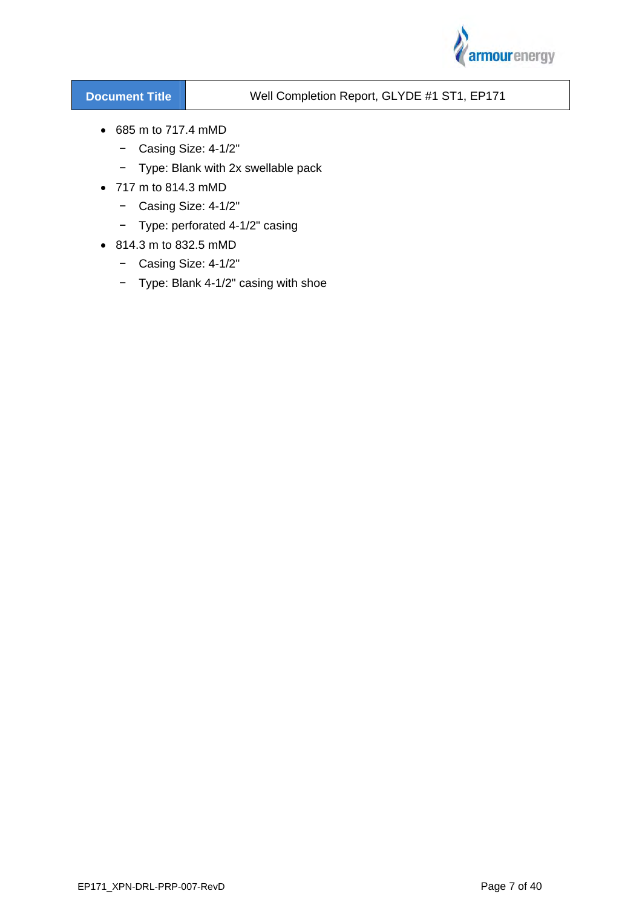

- 685 m to 717.4 mMD
	- − Casing Size: 4-1/2"
	- − Type: Blank with 2x swellable pack
- 717 m to 814.3 mMD
	- − Casing Size: 4-1/2"
	- − Type: perforated 4-1/2" casing
- 814.3 m to 832.5 mMD
	- − Casing Size: 4-1/2"
	- − Type: Blank 4-1/2" casing with shoe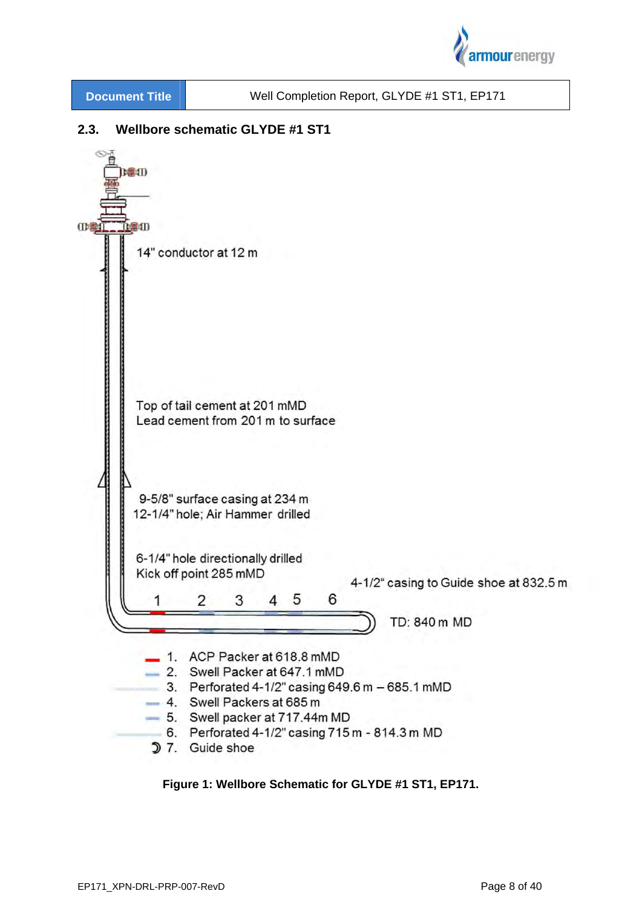

# **2.3. Wellbore schematic GLYDE #1 ST1**



#### **Figure 1: Wellbore Schematic for GLYDE #1 ST1, EP171.**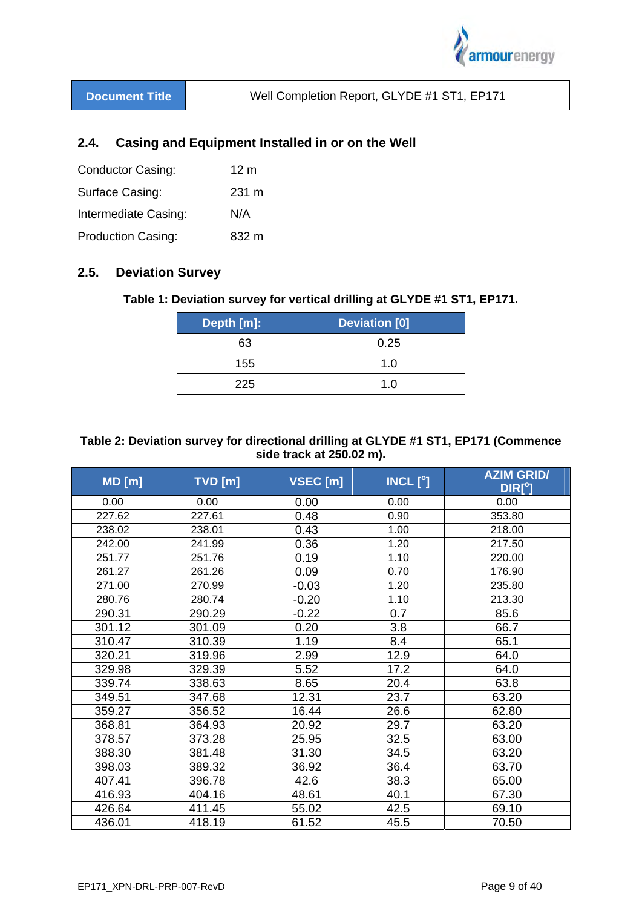

# **2.4. Casing and Equipment Installed in or on the Well**

| <b>Conductor Casing:</b>  | 12 m            |
|---------------------------|-----------------|
| Surface Casing:           | $231 \text{ m}$ |
| Intermediate Casing:      | N/A             |
| <b>Production Casing:</b> | 832 m           |

# **2.5. Deviation Survey**

#### **Table 1: Deviation survey for vertical drilling at GLYDE #1 ST1, EP171.**

| Depth [m]: | <b>Deviation [0]</b> |
|------------|----------------------|
| 63         | 0.25                 |
| 155        | 1. $\Omega$          |
| 225        | 1.0                  |

## **Table 2: Deviation survey for directional drilling at GLYDE #1 ST1, EP171 (Commence side track at 250.02 m).**

| MD[m]  | $TVD$ [m] | $VSEC$ [m] | INCL $[^\circ]$ | <b>AZIM GRID/</b><br>DIR[°] |
|--------|-----------|------------|-----------------|-----------------------------|
| 0.00   | 0.00      | 0.00       | 0.00            | 0.00                        |
| 227.62 | 227.61    | 0.48       | 0.90            | 353.80                      |
| 238.02 | 238.01    | 0.43       | 1.00            | 218.00                      |
| 242.00 | 241.99    | 0.36       | 1.20            | 217.50                      |
| 251.77 | 251.76    | 0.19       | 1.10            | 220.00                      |
| 261.27 | 261.26    | 0.09       | 0.70            | 176.90                      |
| 271.00 | 270.99    | $-0.03$    | 1.20            | 235.80                      |
| 280.76 | 280.74    | $-0.20$    | 1.10            | 213.30                      |
| 290.31 | 290.29    | $-0.22$    | 0.7             | 85.6                        |
| 301.12 | 301.09    | 0.20       | 3.8             | 66.7                        |
| 310.47 | 310.39    | 1.19       | 8.4             | 65.1                        |
| 320.21 | 319.96    | 2.99       | 12.9            | 64.0                        |
| 329.98 | 329.39    | 5.52       | 17.2            | 64.0                        |
| 339.74 | 338.63    | 8.65       | 20.4            | 63.8                        |
| 349.51 | 347.68    | 12.31      | 23.7            | 63.20                       |
| 359.27 | 356.52    | 16.44      | 26.6            | 62.80                       |
| 368.81 | 364.93    | 20.92      | 29.7            | 63.20                       |
| 378.57 | 373.28    | 25.95      | 32.5            | 63.00                       |
| 388.30 | 381.48    | 31.30      | 34.5            | 63.20                       |
| 398.03 | 389.32    | 36.92      | 36.4            | 63.70                       |
| 407.41 | 396.78    | 42.6       | 38.3            | 65.00                       |
| 416.93 | 404.16    | 48.61      | 40.1            | 67.30                       |
| 426.64 | 411.45    | 55.02      | 42.5            | 69.10                       |
| 436.01 | 418.19    | 61.52      | 45.5            | 70.50                       |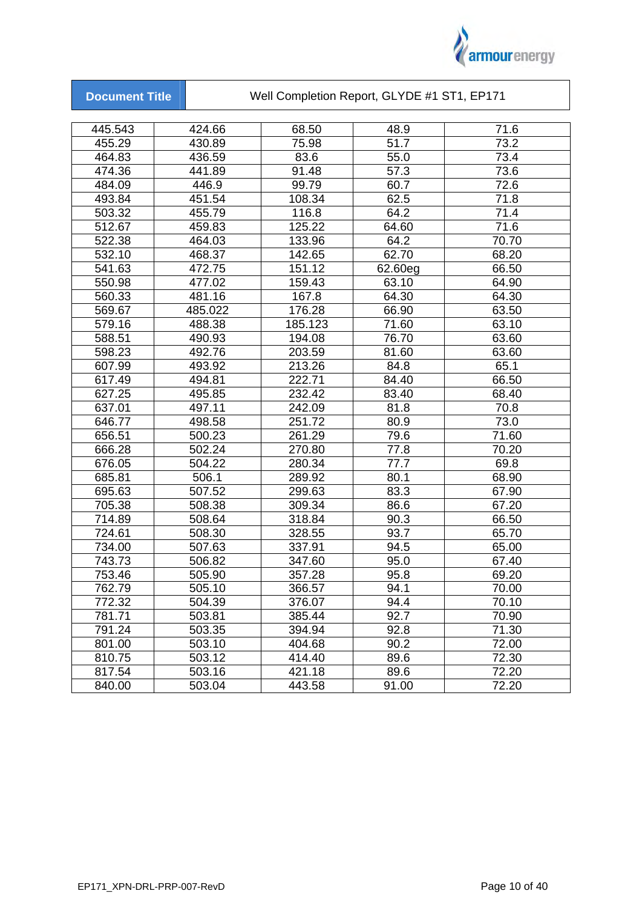

|  |  | <b>Document Title</b> |  |
|--|--|-----------------------|--|
|  |  |                       |  |
|  |  |                       |  |

Well Completion Report, GLYDE #1 ST1, EP171

| 445.543 | 424.66  | 68.50   | 48.9    | 71.6  |
|---------|---------|---------|---------|-------|
| 455.29  | 430.89  | 75.98   | 51.7    | 73.2  |
| 464.83  | 436.59  | 83.6    | 55.0    | 73.4  |
| 474.36  | 441.89  | 91.48   | 57.3    | 73.6  |
| 484.09  | 446.9   | 99.79   | 60.7    | 72.6  |
| 493.84  | 451.54  | 108.34  | 62.5    | 71.8  |
| 503.32  | 455.79  | 116.8   | 64.2    | 71.4  |
| 512.67  | 459.83  | 125.22  | 64.60   | 71.6  |
| 522.38  | 464.03  | 133.96  | 64.2    | 70.70 |
| 532.10  | 468.37  | 142.65  | 62.70   | 68.20 |
| 541.63  | 472.75  | 151.12  | 62.60eg | 66.50 |
| 550.98  | 477.02  | 159.43  | 63.10   | 64.90 |
| 560.33  | 481.16  | 167.8   | 64.30   | 64.30 |
| 569.67  | 485.022 | 176.28  | 66.90   | 63.50 |
| 579.16  | 488.38  | 185.123 | 71.60   | 63.10 |
| 588.51  | 490.93  | 194.08  | 76.70   | 63.60 |
| 598.23  | 492.76  | 203.59  | 81.60   | 63.60 |
| 607.99  | 493.92  | 213.26  | 84.8    | 65.1  |
| 617.49  | 494.81  | 222.71  | 84.40   | 66.50 |
| 627.25  | 495.85  | 232.42  | 83.40   | 68.40 |
| 637.01  | 497.11  | 242.09  | 81.8    | 70.8  |
| 646.77  | 498.58  | 251.72  | 80.9    | 73.0  |
| 656.51  | 500.23  | 261.29  | 79.6    | 71.60 |
| 666.28  | 502.24  | 270.80  | 77.8    | 70.20 |
| 676.05  | 504.22  | 280.34  | 77.7    | 69.8  |
| 685.81  | 506.1   | 289.92  | 80.1    | 68.90 |
| 695.63  | 507.52  | 299.63  | 83.3    | 67.90 |
| 705.38  | 508.38  | 309.34  | 86.6    | 67.20 |
| 714.89  | 508.64  | 318.84  | 90.3    | 66.50 |
| 724.61  | 508.30  | 328.55  | 93.7    | 65.70 |
| 734.00  | 507.63  | 337.91  | 94.5    | 65.00 |
| 743.73  | 506.82  | 347.60  | 95.0    | 67.40 |
| 753.46  | 505.90  | 357.28  | 95.8    | 69.20 |
| 762.79  | 505.10  | 366.57  | 94.1    | 70.00 |
| 772.32  | 504.39  | 376.07  | 94.4    | 70.10 |
| 781.71  | 503.81  | 385.44  | 92.7    | 70.90 |
| 791.24  | 503.35  | 394.94  | 92.8    | 71.30 |
| 801.00  | 503.10  | 404.68  | 90.2    | 72.00 |
| 810.75  | 503.12  | 414.40  | 89.6    | 72.30 |
| 817.54  | 503.16  | 421.18  | 89.6    | 72.20 |
| 840.00  | 503.04  | 443.58  | 91.00   | 72.20 |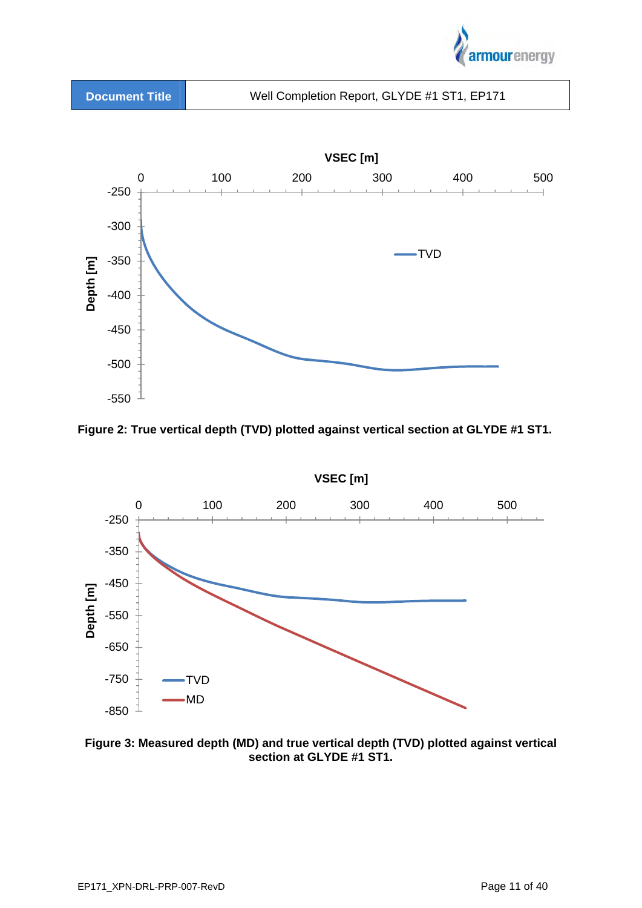





**Figure 2: True vertical depth (TVD) plotted against vertical section at GLYDE #1 ST1.** 



**Figure 3: Measured depth (MD) and true vertical depth (TVD) plotted against vertical section at GLYDE #1 ST1.**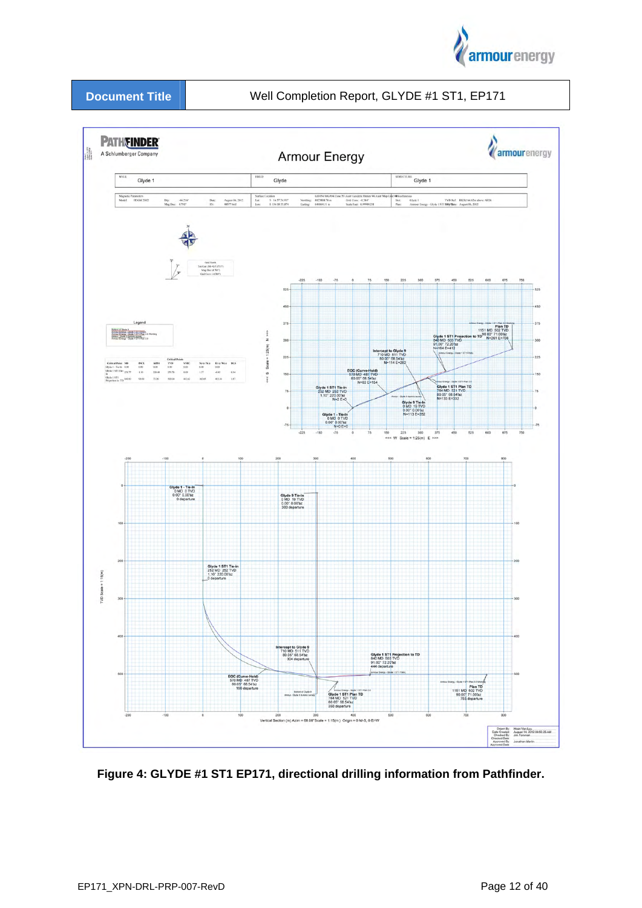



**Figure 4: GLYDE #1 ST1 EP171, directional drilling information from Pathfinder.**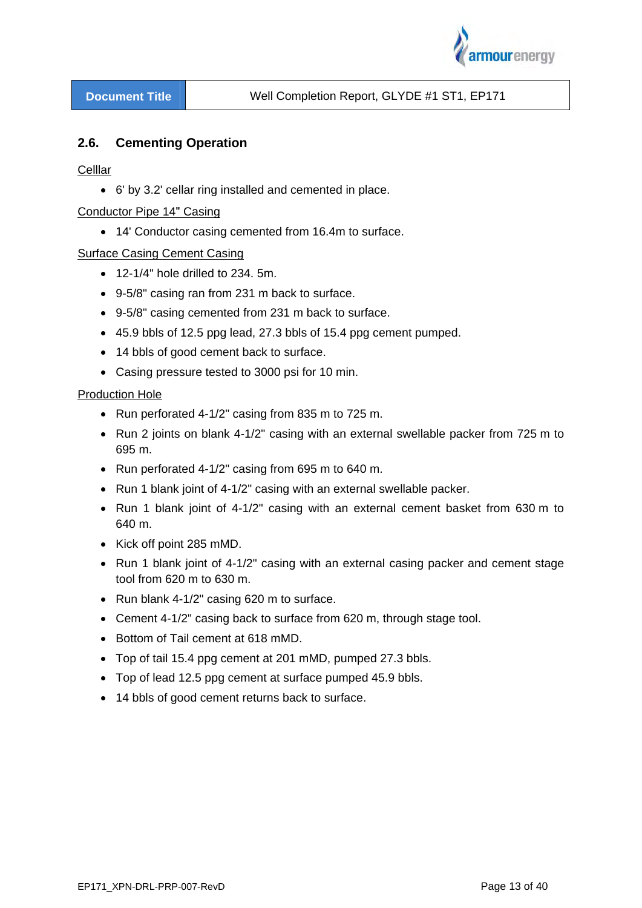

## **2.6. Cementing Operation**

#### Celllar

6' by 3.2' cellar ring installed and cemented in place.

#### Conductor Pipe 14ʺ Casing

14' Conductor casing cemented from 16.4m to surface.

#### Surface Casing Cement Casing

- $\bullet$  12-1/4" hole drilled to 234. 5m.
- 9-5/8" casing ran from 231 m back to surface.
- 9-5/8" casing cemented from 231 m back to surface.
- 45.9 bbls of 12.5 ppg lead, 27.3 bbls of 15.4 ppg cement pumped.
- 14 bbls of good cement back to surface.
- Casing pressure tested to 3000 psi for 10 min.

#### Production Hole

- Run perforated 4-1/2" casing from 835 m to 725 m.
- Run 2 joints on blank 4-1/2" casing with an external swellable packer from 725 m to 695 m.
- Run perforated 4-1/2" casing from 695 m to 640 m.
- Run 1 blank joint of 4-1/2" casing with an external swellable packer.
- Run 1 blank joint of 4-1/2" casing with an external cement basket from 630 m to 640 m.
- Kick off point 285 mMD.
- Run 1 blank joint of 4-1/2" casing with an external casing packer and cement stage tool from 620 m to 630 m.
- Run blank 4-1/2" casing 620 m to surface.
- Cement 4-1/2" casing back to surface from 620 m, through stage tool.
- Bottom of Tail cement at 618 mMD.
- Top of tail 15.4 ppg cement at 201 mMD, pumped 27.3 bbls.
- Top of lead 12.5 ppg cement at surface pumped 45.9 bbls.
- 14 bbls of good cement returns back to surface.